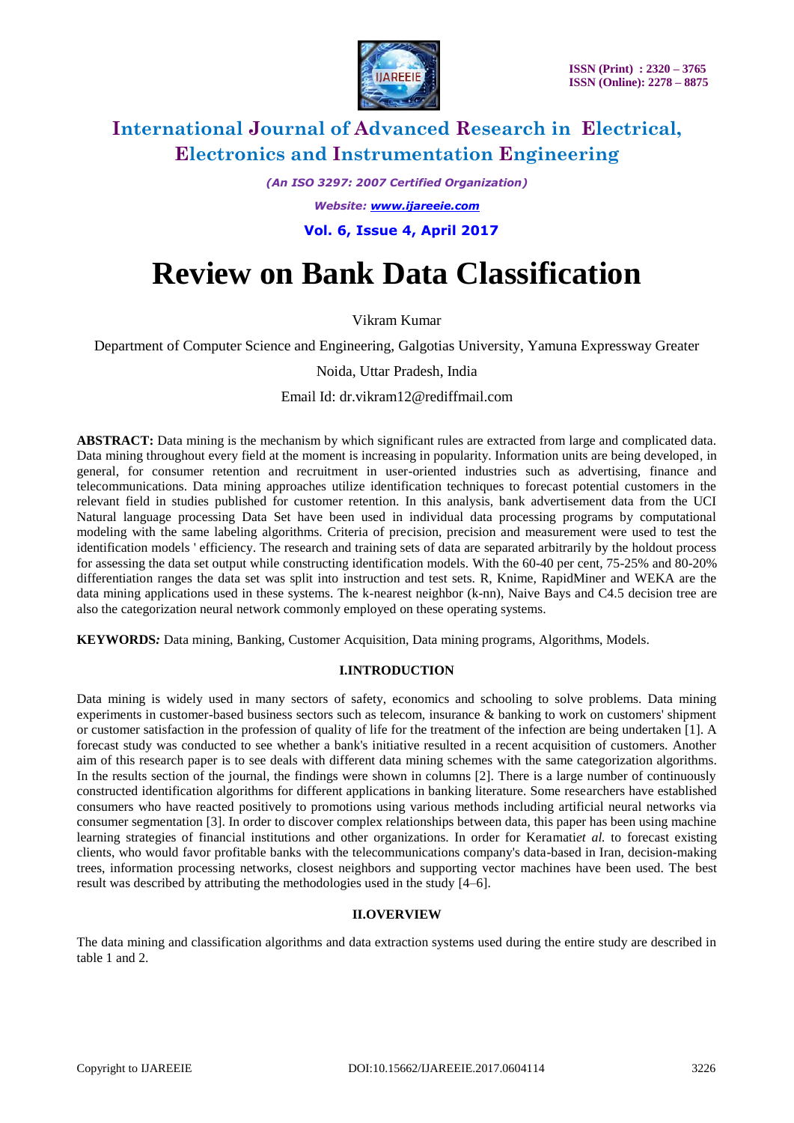

*(An ISO 3297: 2007 Certified Organization)*

*Website: [www.ijareeie.com](http://www.ijareeie.com/)*

 **Vol. 6, Issue 4, April 2017**

# **Review on Bank Data Classification**

Vikram Kumar

Department of Computer Science and Engineering, Galgotias University, Yamuna Expressway Greater

Noida, Uttar Pradesh, India

Email Id: dr.vikram12@rediffmail.com

**ABSTRACT:** Data mining is the mechanism by which significant rules are extracted from large and complicated data. Data mining throughout every field at the moment is increasing in popularity. Information units are being developed, in general, for consumer retention and recruitment in user-oriented industries such as advertising, finance and telecommunications. Data mining approaches utilize identification techniques to forecast potential customers in the relevant field in studies published for customer retention. In this analysis, bank advertisement data from the UCI Natural language processing Data Set have been used in individual data processing programs by computational modeling with the same labeling algorithms. Criteria of precision, precision and measurement were used to test the identification models ' efficiency. The research and training sets of data are separated arbitrarily by the holdout process for assessing the data set output while constructing identification models. With the 60-40 per cent, 75-25% and 80-20% differentiation ranges the data set was split into instruction and test sets. R, Knime, RapidMiner and WEKA are the data mining applications used in these systems. The k-nearest neighbor (k-nn), Naive Bays and C4.5 decision tree are also the categorization neural network commonly employed on these operating systems.

**KEYWORDS***:* Data mining, Banking, Customer Acquisition, Data mining programs, Algorithms, Models.

### **I.INTRODUCTION**

Data mining is widely used in many sectors of safety, economics and schooling to solve problems. Data mining experiments in customer-based business sectors such as telecom, insurance & banking to work on customers' shipment or customer satisfaction in the profession of quality of life for the treatment of the infection are being undertaken [1]. A forecast study was conducted to see whether a bank's initiative resulted in a recent acquisition of customers. Another aim of this research paper is to see deals with different data mining schemes with the same categorization algorithms. In the results section of the journal, the findings were shown in columns [2]. There is a large number of continuously constructed identification algorithms for different applications in banking literature. Some researchers have established consumers who have reacted positively to promotions using various methods including artificial neural networks via consumer segmentation [3]. In order to discover complex relationships between data, this paper has been using machine learning strategies of financial institutions and other organizations. In order for Keramati*et al.* to forecast existing clients, who would favor profitable banks with the telecommunications company's data-based in Iran, decision-making trees, information processing networks, closest neighbors and supporting vector machines have been used. The best result was described by attributing the methodologies used in the study [4–6].

### **II.OVERVIEW**

The data mining and classification algorithms and data extraction systems used during the entire study are described in table 1 and 2.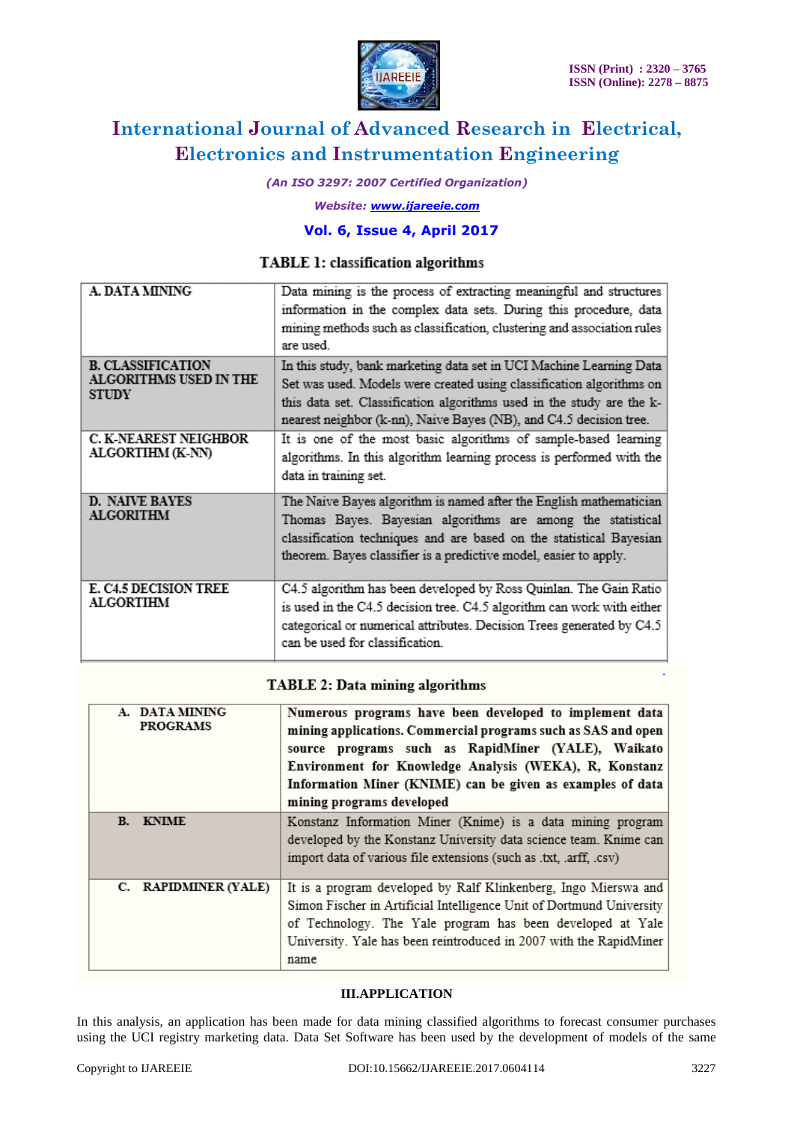

*(An ISO 3297: 2007 Certified Organization)*

*Website: [www.ijareeie.com](http://www.ijareeie.com/)*

# **Vol. 6, Issue 4, April 2017**

## TABLE 1: classification algorithms

| A. DATA MINING                                                     | Data mining is the process of extracting meaningful and structures<br>information in the complex data sets. During this procedure, data<br>mining methods such as classification, clustering and association rules<br>are used.                                                            |
|--------------------------------------------------------------------|--------------------------------------------------------------------------------------------------------------------------------------------------------------------------------------------------------------------------------------------------------------------------------------------|
| <b>B. CLASSIFICATION</b><br>ALGORITHMS USED IN THE<br><b>STUDY</b> | In this study, bank marketing data set in UCI Machine Learning Data<br>Set was used. Models were created using classification algorithms on<br>this data set. Classification algorithms used in the study are the k-<br>nearest neighbor (k-nn), Naive Bayes (NB), and C4.5 decision tree. |
| <b>C. K-NEAREST NEIGHBOR</b><br>ALGORTIHM (K-NN)                   | It is one of the most basic algorithms of sample-based learning<br>algorithms. In this algorithm learning process is performed with the<br>data in training set.                                                                                                                           |
| <b>D. NAIVE BAYES</b><br><b>ALGORITHM</b>                          | The Naive Bayes algorithm is named after the English mathematician<br>Thomas Bayes. Bayesian algorithms are among the statistical<br>classification techniques and are based on the statistical Bayesian<br>theorem. Bayes classifier is a predictive model, easier to apply.              |
| <b>E. C4.5 DECISION TREE</b><br><b>ALGORTIHM</b>                   | C4.5 algorithm has been developed by Ross Quinlan. The Gain Ratio<br>is used in the C4.5 decision tree. C4.5 algorithm can work with either<br>categorical or numerical attributes. Decision Trees generated by C4.5<br>can be used for classification.                                    |

### **TABLE 2: Data mining algorithms**

| A. DATA MINING<br><b>PROGRAMS</b> | Numerous programs have been developed to implement data<br>mining applications. Commercial programs such as SAS and open<br>source programs such as RapidMiner (YALE), Waikato<br>Environment for Knowledge Analysis (WEKA), R, Konstanz<br>Information Miner (KNIME) can be given as examples of data<br>mining programs developed |
|-----------------------------------|-------------------------------------------------------------------------------------------------------------------------------------------------------------------------------------------------------------------------------------------------------------------------------------------------------------------------------------|
| <b>B.</b> KNIME                   | Konstanz Information Miner (Knime) is a data mining program<br>developed by the Konstanz University data science team. Knime can<br>import data of various file extensions (such as .txt, .arff, .csv)                                                                                                                              |
| C. RAPIDMINER (YALE)              | It is a program developed by Ralf Klinkenberg, Ingo Mierswa and<br>Simon Fischer in Artificial Intelligence Unit of Dortmund University<br>of Technology. The Yale program has been developed at Yale<br>University. Yale has been reintroduced in 2007 with the RapidMiner<br>name                                                 |

#### **III.APPLICATION**

In this analysis, an application has been made for data mining classified algorithms to forecast consumer purchases using the UCI registry marketing data. Data Set Software has been used by the development of models of the same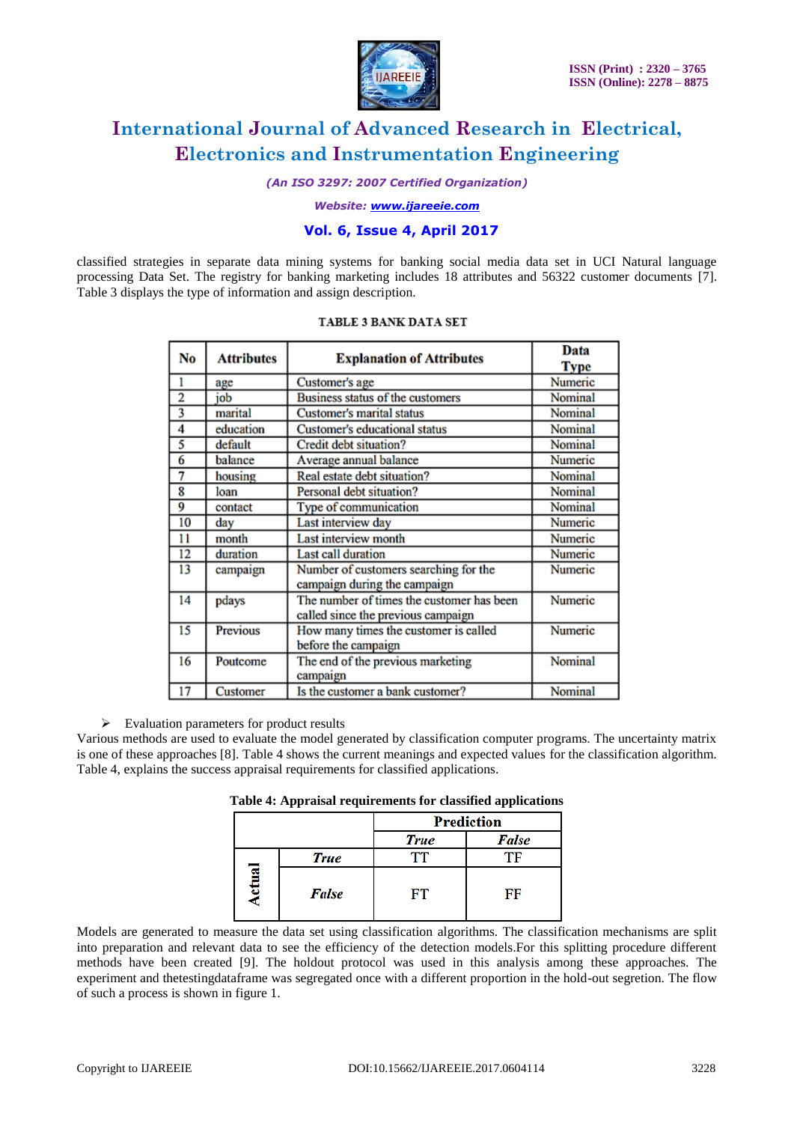

*(An ISO 3297: 2007 Certified Organization)*

*Website: [www.ijareeie.com](http://www.ijareeie.com/)*

### **Vol. 6, Issue 4, April 2017**

classified strategies in separate data mining systems for banking social media data set in UCI Natural language processing Data Set. The registry for banking marketing includes 18 attributes and 56322 customer documents [7]. Table 3 displays the type of information and assign description.

| No                      | <b>Attributes</b> | <b>Explanation of Attributes</b>                                                | Data<br>Type   |
|-------------------------|-------------------|---------------------------------------------------------------------------------|----------------|
|                         | age               | Customer's age                                                                  | Numeric        |
| $\overline{2}$          | job               | Business status of the customers                                                | Nominal        |
| $\overline{\mathbf{3}}$ | marital           | Customer's marital status                                                       | Nominal        |
| 4                       | education         | Customer's educational status                                                   | <b>Nominal</b> |
|                         | default           | Credit debt situation?                                                          | Nominal        |
| 6                       | balance           | Average annual balance                                                          | Numeric        |
| 7                       | housing           | Real estate debt situation?                                                     | Nominal        |
| 8                       | loan              | Personal debt situation?                                                        | Nominal        |
| 9                       | contact           | Type of communication                                                           | Nominal        |
| 10                      | day               | Last interview day                                                              | Numeric        |
| 11                      | month             | Last interview month                                                            | Numeric        |
| 12                      | duration          | <b>Last call duration</b>                                                       | Numeric        |
| 13                      | campaign          | Number of customers searching for the<br>campaign during the campaign           | Numeric        |
| 14                      | pdays             | The number of times the customer has been<br>called since the previous campaign | Numeric        |
| 15                      | Previous          | How many times the customer is called<br>before the campaign                    | Numeric        |
| 16                      | Poutcome          | The end of the previous marketing<br>campaign                                   | Nominal        |
| 17                      | Customer          | Is the customer a bank customer?                                                | Nominal        |

#### **TABLE 3 BANK DATA SET**

 $\triangleright$  Evaluation parameters for product results

Various methods are used to evaluate the model generated by classification computer programs. The uncertainty matrix is one of these approaches [8]. Table 4 shows the current meanings and expected values for the classification algorithm. Table 4, explains the success appraisal requirements for classified applications.

**Table 4: Appraisal requirements for classified applications**

|   |             | <b>Prediction</b> |       |  |  |  |  |
|---|-------------|-------------------|-------|--|--|--|--|
|   |             | <b>True</b>       | False |  |  |  |  |
|   | <b>True</b> |                   |       |  |  |  |  |
| Ē | False       | FТ                | FF    |  |  |  |  |

Models are generated to measure the data set using classification algorithms. The classification mechanisms are split into preparation and relevant data to see the efficiency of the detection models.For this splitting procedure different methods have been created [9]. The holdout protocol was used in this analysis among these approaches. The experiment and thetestingdataframe was segregated once with a different proportion in the hold-out segretion. The flow of such a process is shown in figure 1.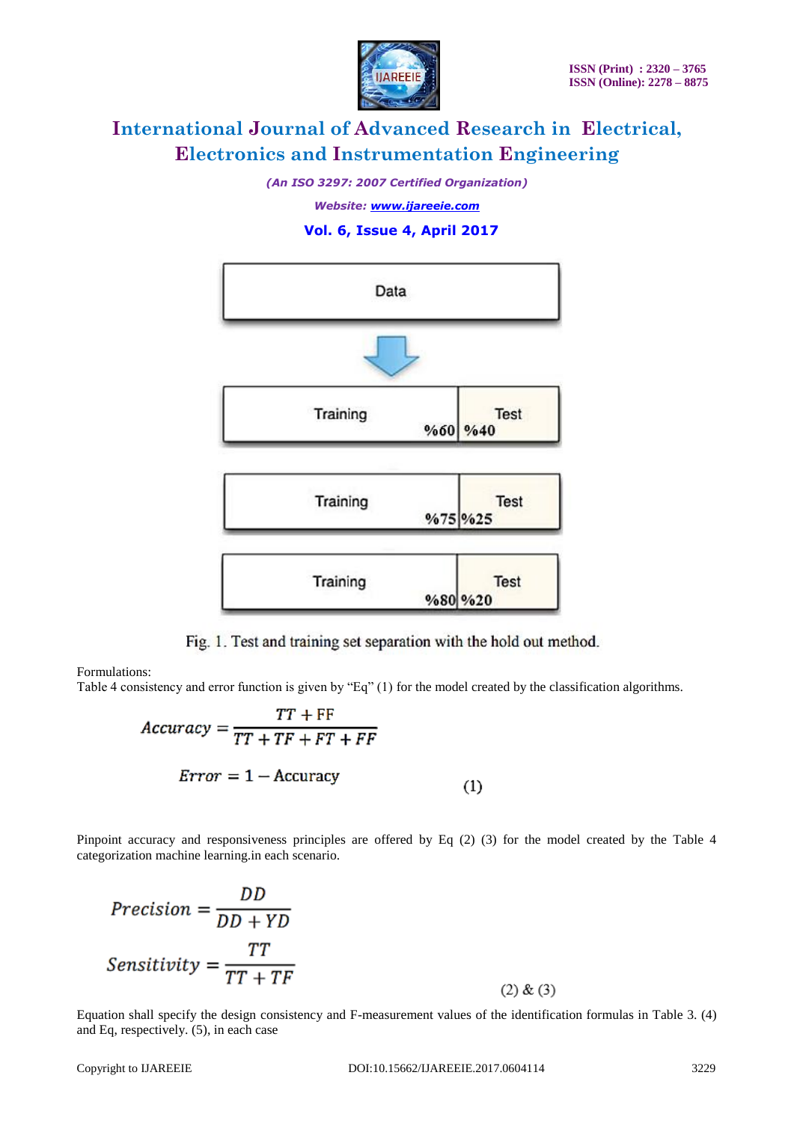

*(An ISO 3297: 2007 Certified Organization)*

*Website: [www.ijareeie.com](http://www.ijareeie.com/)*

# **Vol. 6, Issue 4, April 2017**



Fig. 1. Test and training set separation with the hold out method.

Formulations:

Table 4 consistency and error function is given by "Eq" (1) for the model created by the classification algorithms.

$$
Accuracy = \frac{TT + FF}{TT + TF + FT + FF}
$$

$$
Error = 1 - Accuracy
$$
 (1)

Pinpoint accuracy and responsiveness principles are offered by Eq (2) (3) for the model created by the Table 4 categorization machine learning.in each scenario.

$$
Precision = \frac{DD}{DD + YD}
$$

$$
Sensitivity = \frac{TT}{TT + TF}
$$
(2) & (3)

Equation shall specify the design consistency and F-measurement values of the identification formulas in Table 3. (4) and Eq, respectively. (5), in each case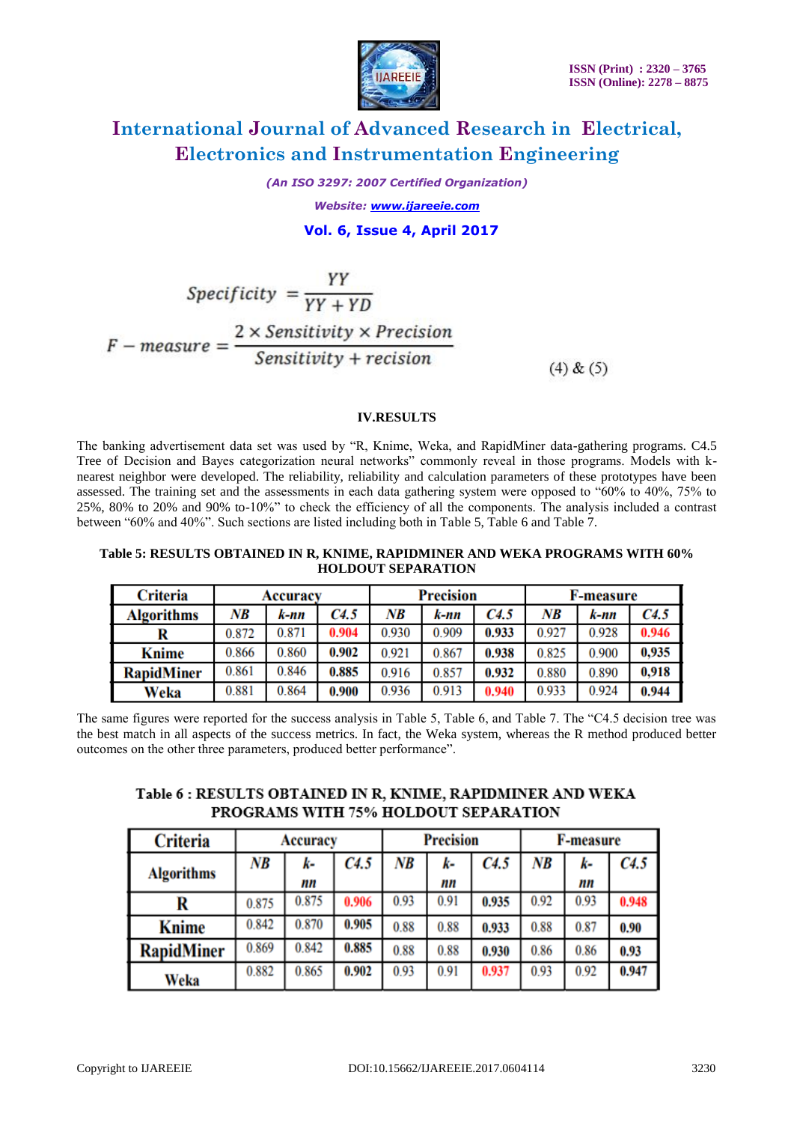

*(An ISO 3297: 2007 Certified Organization)*

*Website: [www.ijareeie.com](http://www.ijareeie.com/)*  **Vol. 6, Issue 4, April 2017**

# $Specificity = \frac{YY}{YY + YD}$  $F-measure = \frac{2 \times Sensitivity \times Precision}{Sensitivity + recursion}$  $(4) & (5)$

# **IV.RESULTS**

The banking advertisement data set was used by "R, Knime, Weka, and RapidMiner data-gathering programs. C4.5 Tree of Decision and Bayes categorization neural networks" commonly reveal in those programs. Models with knearest neighbor were developed. The reliability, reliability and calculation parameters of these prototypes have been assessed. The training set and the assessments in each data gathering system were opposed to "60% to 40%, 75% to 25%, 80% to 20% and 90% to-10%" to check the efficiency of all the components. The analysis included a contrast between "60% and 40%". Such sections are listed including both in Table 5, Table 6 and Table 7.

#### **Table 5: RESULTS OBTAINED IN R, KNIME, RAPIDMINER AND WEKA PROGRAMS WITH 60% HOLDOUT SEPARATION**

| <b>Criteria</b>   | Accuracv |       |       | <b>Precision</b> |       |       | <b>F-measure</b> |       |       |
|-------------------|----------|-------|-------|------------------|-------|-------|------------------|-------|-------|
| <b>Algorithms</b> | NB       | k-nn  | C4.5  | NB               | k-nn  | C4.5  | NB               | k-nn  | C4.5  |
|                   | 0.872    | 0.871 | 0.904 | 0.930            | 0.909 | 0.933 | 0.927            | 0.928 | 0.946 |
| <b>Knime</b>      | 0.866    | 0.860 | 0.902 | 0.921            | 0.867 | 0.938 | 0.825            | 0.900 | 0,935 |
| <b>RapidMiner</b> | 0.861    | 0.846 | 0.885 | 0.916            | 0.857 | 0.932 | 0.880            | 0.890 | 0,918 |
| Weka              | 0.881    | 0.864 | 0.900 | 0.936            | 0.913 | 0.940 | 0.933            | 0.924 | 0.944 |

The same figures were reported for the success analysis in Table 5, Table 6, and Table 7. The "C4.5 decision tree was the best match in all aspects of the success metrics. In fact, the Weka system, whereas the R method produced better outcomes on the other three parameters, produced better performance".

# Table 6: RESULTS OBTAINED IN R, KNIME, RAPIDMINER AND WEKA PROGRAMS WITH 75% HOLDOUT SEPARATION

| <b>Criteria</b>   | Accuracy |       |       |      | <b>Precision</b> |       | <b>F-measure</b> |      |       |
|-------------------|----------|-------|-------|------|------------------|-------|------------------|------|-------|
| <b>Algorithms</b> | NB       | k-    | C4.5  | NB   | k-               | C4.5  | NB               | k-   | C4.5  |
|                   |          | nn    |       |      | nn               |       |                  | mn   |       |
|                   | 0.875    | 0.875 | 0.906 | 0.93 | 0.91             | 0.935 | 0.92             | 0.93 | 0.948 |
| <b>Knime</b>      | 0.842    | 0.870 | 0.905 | 0.88 | 0.88             | 0.933 | 0.88             | 0.87 | 0.90  |
| <b>RapidMiner</b> | 0.869    | 0.842 | 0.885 | 0.88 | 0.88             | 0.930 | 0.86             | 0.86 | 0.93  |
| Weka              | 0.882    | 0.865 | 0.902 | 0.93 | 0.91             | 0.937 | 0.93             | 0.92 | 0.947 |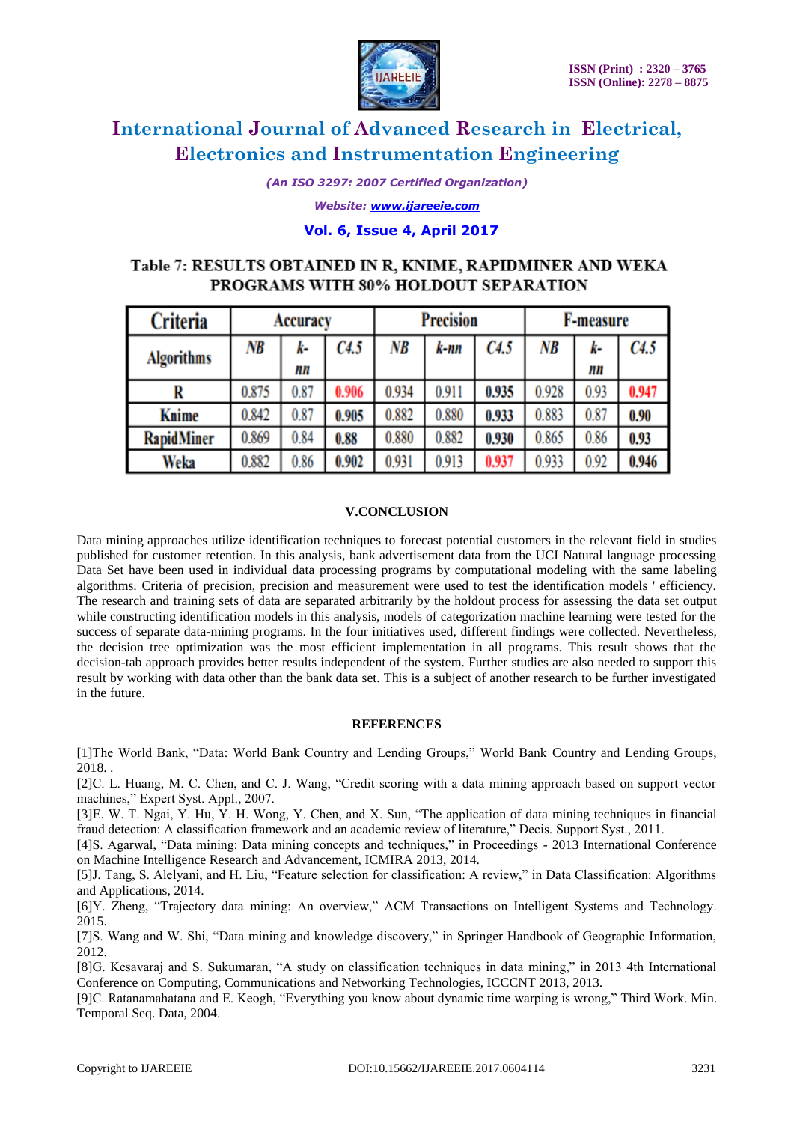

*(An ISO 3297: 2007 Certified Organization)*

*Website: [www.ijareeie.com](http://www.ijareeie.com/)*

### **Vol. 6, Issue 4, April 2017**

# Table 7: RESULTS OBTAINED IN R, KNIME, RAPIDMINER AND WEKA PROGRAMS WITH 80% HOLDOUT SEPARATION

| <b>Criteria</b>   | Accuracy |          |       | <b>Precision</b> |       |       | F-measure |          |       |
|-------------------|----------|----------|-------|------------------|-------|-------|-----------|----------|-------|
| <b>Algorithms</b> | NB       | k-<br>nn | C4.5  | NB               | k-nn  | C4.5  | NB        | k-<br>nn | C4.5  |
| R                 | 0.875    | 0.87     | 0.906 | 0.934            | 0.911 | 0.935 | 0.928     | 0.93     | 0.947 |
| <b>Knime</b>      | 0.842    | 0.87     | 0.905 | 0.882            | 0.880 | 0.933 | 0.883     | 0.87     | 0.90  |
| <b>RapidMiner</b> | 0.869    | 0.84     | 0.88  | 0.880            | 0.882 | 0.930 | 0.865     | 0.86     | 0.93  |
| Weka              | 0.882    | 0.86     | 0.902 | 0.931            | 0.913 | 0.937 | 0.933     | 0.92     | 0.946 |

### **V.CONCLUSION**

Data mining approaches utilize identification techniques to forecast potential customers in the relevant field in studies published for customer retention. In this analysis, bank advertisement data from the UCI Natural language processing Data Set have been used in individual data processing programs by computational modeling with the same labeling algorithms. Criteria of precision, precision and measurement were used to test the identification models ' efficiency. The research and training sets of data are separated arbitrarily by the holdout process for assessing the data set output while constructing identification models in this analysis, models of categorization machine learning were tested for the success of separate data-mining programs. In the four initiatives used, different findings were collected. Nevertheless, the decision tree optimization was the most efficient implementation in all programs. This result shows that the decision-tab approach provides better results independent of the system. Further studies are also needed to support this result by working with data other than the bank data set. This is a subject of another research to be further investigated in the future.

### **REFERENCES**

[1]The World Bank, "Data: World Bank Country and Lending Groups," World Bank Country and Lending Groups, 2018. .

[2]C. L. Huang, M. C. Chen, and C. J. Wang, "Credit scoring with a data mining approach based on support vector machines," Expert Syst. Appl., 2007.

[3]E. W. T. Ngai, Y. Hu, Y. H. Wong, Y. Chen, and X. Sun, "The application of data mining techniques in financial fraud detection: A classification framework and an academic review of literature," Decis. Support Syst., 2011.

[4]S. Agarwal, "Data mining: Data mining concepts and techniques," in Proceedings - 2013 International Conference on Machine Intelligence Research and Advancement, ICMIRA 2013, 2014.

[5]J. Tang, S. Alelyani, and H. Liu, "Feature selection for classification: A review," in Data Classification: Algorithms and Applications, 2014.

[6]Y. Zheng, "Trajectory data mining: An overview," ACM Transactions on Intelligent Systems and Technology. 2015.

[7]S. Wang and W. Shi, "Data mining and knowledge discovery," in Springer Handbook of Geographic Information, 2012.

[8]G. Kesavaraj and S. Sukumaran, "A study on classification techniques in data mining," in 2013 4th International Conference on Computing, Communications and Networking Technologies, ICCCNT 2013, 2013.

[9]C. Ratanamahatana and E. Keogh, "Everything you know about dynamic time warping is wrong," Third Work. Min. Temporal Seq. Data, 2004.